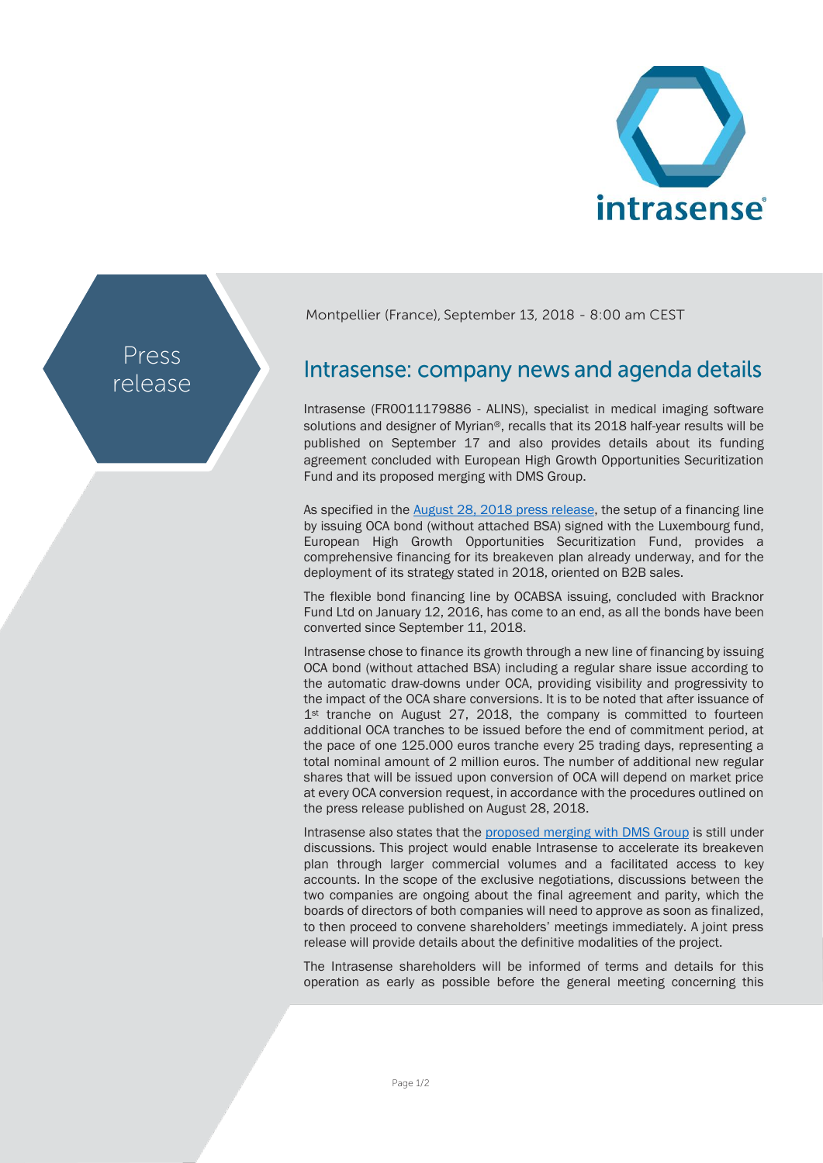

Press release Montpellier (France), September 13, 2018 - 8:00 am CEST

## Intrasense: company news and agenda details

Intrasense (FR0011179886 - ALINS), specialist in medical imaging software solutions and designer of Myrian®, recalls that its 2018 half-year results will be published on September 17 and also provides details about its funding agreement concluded with European High Growth Opportunities Securitization Fund and its proposed merging with DMS Group.

As specified in the [August 28, 2018](http://www.intrasense.fr/wp-content/uploads/2018/08/CP_Intrasense_Contrat-de-financement_28082018.pdf) press release, the setup of a financing line by issuing OCA bond (without attached BSA) signed with the Luxembourg fund, European High Growth Opportunities Securitization Fund, provides a comprehensive financing for its breakeven plan already underway, and for the deployment of its strategy stated in 2018, oriented on B2B sales.

The flexible bond financing line by OCABSA issuing, concluded with Bracknor Fund Ltd on January 12, 2016, has come to an end, as all the bonds have been converted since September 11, 2018.

Intrasense chose to finance its growth through a new line of financing by issuing OCA bond (without attached BSA) including a regular share issue according to the automatic draw-downs under OCA, providing visibility and progressivity to the impact of the OCA share conversions. It is to be noted that after issuance of 1st tranche on August 27, 2018, the company is committed to fourteen additional OCA tranches to be issued before the end of commitment period, at the pace of one 125.000 euros tranche every 25 trading days, representing a total nominal amount of 2 million euros. The number of additional new regular shares that will be issued upon conversion of OCA will depend on market price at every OCA conversion request, in accordance with the procedures outlined on the press release published on August 28, 2018.

Intrasense also states that the [proposed merging with](http://www.intrasense.fr/wp-content/uploads/2018/07/PR_Intrasense_DMS_20180718_EN.pdf) DMS Group is still under discussions. This project would enable Intrasense to accelerate its breakeven plan through larger commercial volumes and a facilitated access to key accounts. In the scope of the exclusive negotiations, discussions between the two companies are ongoing about the final agreement and parity, which the boards of directors of both companies will need to approve as soon as finalized, to then proceed to convene shareholders' meetings immediately. A joint press release will provide details about the definitive modalities of the project.

The Intrasense shareholders will be informed of terms and details for this operation as early as possible before the general meeting concerning this